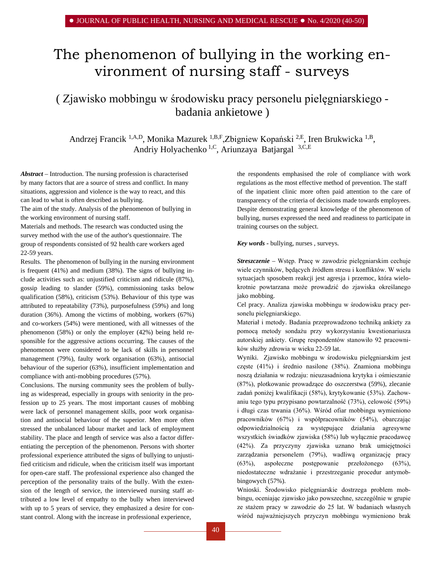# The phenomenon of bullying in the working environment of nursing staff - surveys

## ( Zjawisko mobbingu w środowisku pracy personelu pielęgniarskiego badania ankietowe )

Andrzej Francik 1,A,D, Monika Mazurek 1,B,F,Zbigniew Kopański 2,E, Iren Brukwicka 1,B, Andriy Holyachenko 1,C, Ariunzaya Batjargal 3,C,E

*Abstract –* Introduction. The nursing profession is characterised by many factors that are a source of stress and conflict. In many situations, aggression and violence is the way to react, and this can lead to what is often described as bullying.

The aim of the study. Analysis of the phenomenon of bullying in the working environment of nursing staff.

Materials and methods. The research was conducted using the survey method with the use of the author's questionnaire. The group of respondents consisted of 92 health care workers aged 22-59 years.

Results. The phenomenon of bullying in the nursing environment is frequent (41%) and medium (38%). The signs of bullying include activities such as: unjustified criticism and ridicule (87%), gossip leading to slander (59%), commissioning tasks below qualification (58%), criticism (53%). Behaviour of this type was attributed to repeatability (73%), purposefulness (59%) and long duration (36%). Among the victims of mobbing, workers (67%) and co-workers (54%) were mentioned, with all witnesses of the phenomenon (58%) or only the employer (42%) being held responsible for the aggressive actions occurring. The causes of the phenomenon were considered to be lack of skills in personnel management (79%), faulty work organisation (63%), antisocial behaviour of the superior (63%), insufficient implementation and compliance with anti-mobbing procedures (57%).

Conclusions. The nursing community sees the problem of bullying as widespread, especially in groups with seniority in the profession up to 25 years. The most important causes of mobbing were lack of personnel management skills, poor work organisation and antisocial behaviour of the superior. Men more often stressed the unbalanced labour market and lack of employment stability. The place and length of service was also a factor differentiating the perception of the phenomenon. Persons with shorter professional experience attributed the signs of bullying to unjustified criticism and ridicule, when the criticism itself was important for open-care staff. The professional experience also changed the perception of the personality traits of the bully. With the extension of the length of service, the interviewed nursing staff attributed a low level of empathy to the bully when interviewed with up to 5 years of service, they emphasized a desire for constant control. Along with the increase in professional experience,

the respondents emphasised the role of compliance with work regulations as the most effective method of prevention. The staff of the inpatient clinic more often paid attention to the care of transparency of the criteria of decisions made towards employees. Despite demonstrating general knowledge of the phenomenon of bullying, nurses expressed the need and readiness to participate in training courses on the subject.

*Key words -* bullying, nurses , surveys.

*Streszczenie –* Wstęp. Pracę w zawodzie pielęgniarskim cechuje wiele czynników, będących źródłem stresu i konfliktów. W wielu sytuacjach sposobem reakcji jest agresja i przemoc, która wielokrotnie powtarzana może prowadzić do zjawiska określanego jako mobbing.

Cel pracy. Analiza zjawiska mobbingu w środowisku pracy personelu pielęgniarskiego.

Materiał i metody. Badania przeprowadzono techniką ankiety za pomocą metody sondażu przy wykorzystaniu kwestionariusza autorskiej ankiety. Grupę respondentów stanowiło 92 pracowników służby zdrowia w wieku 22-59 lat.

Wyniki. Zjawisko mobbingu w środowisku pielęgniarskim jest częste (41%) i średnio nasilone (38%). Znamiona mobbingu noszą działania w rodzaju: nieuzasadniona krytyka i ośmieszanie (87%), plotkowanie prowadzące do oszczerstwa (59%), zlecanie zadań poniżej kwalifikacji (58%), krytykowanie (53%). Zachowaniu tego typu przypisano powtarzalność (73%), celowość (59%) i długi czas trwania (36%). Wśród ofiar mobbingu wymieniono pracowników (67%) i współpracowników (54%), obarczając odpowiedzialnością za występujące działania agresywne wszystkich świadków zjawiska (58%) lub wyłącznie pracodawcę (42%). Za przyczyny zjawiska uznano brak umiejętności zarządzania personelem (79%), wadliwą organizację pracy (63%), aspołeczne postępowanie przełożonego (63%), niedostateczne wdrażanie i przestrzeganie procedur antymobbingowych (57%).

Wnioski. Środowisko pielęgniarskie dostrzega problem mobbingu, oceniając zjawisko jako powszechne, szczególnie w grupie ze stażem pracy w zawodzie do 25 lat. W badaniach własnych wśród najważniejszych przyczyn mobbingu wymieniono brak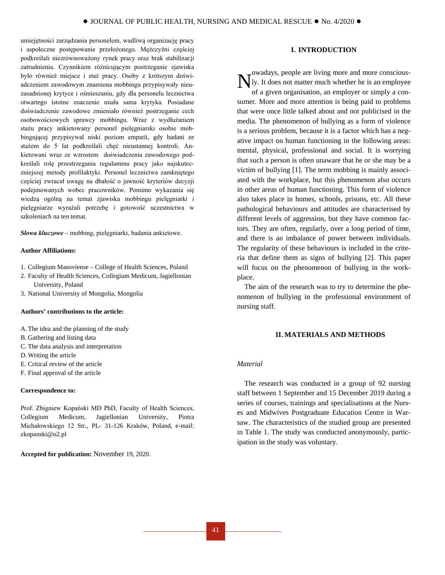umiejętności zarządzania personelem, wadliwą organizację pracy i aspołeczne postępowanie przełożonego. Mężczyźni częściej podkreślali niezrównoważony rynek pracy oraz brak stabilizacji zatrudnienia. Czynnikiem różnicującym postrzeganie zjawiska było również miejsce i staż pracy. Osoby z krótszym doświadczeniem zawodowym znamiona mobbingu przypisywały nieuzasadnionej krytyce i ośmieszaniu, gdy dla personelu lecznictwa otwartego istotne znaczenie miała sama krytyka. Posiadane doświadczenie zawodowe zmieniało również postrzeganie cech osobowościowych sprawcy mobbingu. Wraz z wydłużaniem stażu pracy ankietowany personel pielęgniarski osobie mobbingującej przypisywał niski poziom empatii, gdy badani ze stażem do 5 lat podkreślali chęć nieustannej kontroli. Ankietowani wraz ze wzrostem doświadczenia zawodowego podkreślali rolę przestrzegania regulaminu pracy jako najskuteczniejszej metody profilaktyki. Personel lecznictwa zamkniętego częściej zwracał uwagę na dbałość o jawność kryteriów decyzji podejmowanych wobec pracowników. Pomimo wykazania się wiedzą ogólną na temat zjawiska mobbingu pielęgniarki i pielęgniarze wyrażali potrzebę i gotowość uczestnictwa w szkoleniach na ten temat.

*Słowa kluczowe –* mobbing, pielęgniarki, badania ankietowe.

### **Author Affiliations:**

- 1. Collegium Masoviense College of Health Sciences, Poland
- 2. Faculty of Health Sciences, Collegium Medicum, Jagiellonian University, Poland
- 3. National University of Mongolia, Mongolia

## **Authors' contributions to the article:**

- A.The idea and the planning of the study
- B. Gathering and listing data
- C. The data analysis and interpretation
- D.Writing the article
- E. Critical review of the article
- F. Final approval of the article

#### **Correspondence to:**

Prof. Zbigniew Kopański MD PhD, Faculty of Health Sciences, Collegium Medicum, Jagiellonian University, Piotra Michałowskiego 12 Str., PL- 31-126 Kraków, Poland, e-mail: [zkopanski@o2.pl](mailto:zkopanski@o2.pl)

**Accepted for publication:** November 19, 2020.

## **I. INTRODUCTION**

owadays, people are living more and more consciously. It does not matter much whether he is an employee of a given organisation, an employer or simply a consumer. More and more attention is being paid to problems that were once little talked about and not publicised in the media. The phenomenon of bullying as a form of violence is a serious problem, because it is a factor which has a negative impact on human functioning in the following areas: mental, physical, professional and social. It is worrying that such a person is often unaware that he or she may be a victim of bullying [1]. The term mobbing is mainly associated with the workplace, but this phenomenon also occurs in other areas of human functioning. This form of violence also takes place in homes, schools, prisons, etc. All these pathological behaviours and attitudes are characterised by different levels of aggression, but they have common factors. They are often, regularly, over a long period of time, and there is an imbalance of power between individuals. The regularity of these behaviours is included in the criteria that define them as signs of bullying [2]. This paper will focus on the phenomenon of bullying in the workplace. N

The aim of the research was to try to determine the phenomenon of bullying in the professional environment of nursing staff.

## **II. MATERIALS AND METHODS**

## *Material*

The research was conducted in a group of 92 nursing staff between 1 September and 15 December 2019 during a series of courses, trainings and specialisations at the Nurses and Midwives Postgraduate Education Centre in Warsaw. The characteristics of the studied group are presented in Table 1. The study was conducted anonymously, participation in the study was voluntary.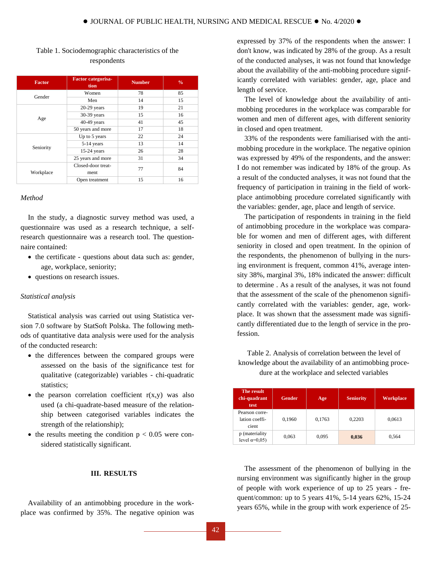| <b>Factor</b> | <b>Factor categorisa-</b><br>tion | <b>Number</b> | $\frac{0}{0}$ |  |
|---------------|-----------------------------------|---------------|---------------|--|
| Gender        | Women                             | 78            | 85            |  |
|               | Men                               | 14            | 15            |  |
| Age           | $20-29$ years                     | 19            | 21            |  |
|               | 30-39 years                       | 15            | 16            |  |
|               | $40-49$ years                     | 41            | 45            |  |
|               | 50 years and more                 | 17            | 18            |  |
|               | Up to 5 years                     | 22            | 24            |  |
|               | 5-14 years                        | 13            | 14            |  |
| Seniority     | $15-24$ years                     | 26            | 28            |  |
|               | 25 years and more                 | 31            | 34            |  |
| Workplace     | Closed-door treat-                | 77            | 84            |  |
|               | ment                              |               |               |  |
|               | Open treatment                    | 15            | 16            |  |

## Table 1. Sociodemographic characteristics of the respondents

## *Method*

In the study, a diagnostic survey method was used, a questionnaire was used as a research technique, a selfresearch questionnaire was a research tool. The questionnaire contained:

- the certificate questions about data such as: gender, age, workplace, seniority;
- questions on research issues.

## *Statistical analysis*

Statistical analysis was carried out using Statistica version 7.0 software by StatSoft Polska. The following methods of quantitative data analysis were used for the analysis of the conducted research:

- the differences between the compared groups were assessed on the basis of the significance test for qualitative (categorizable) variables - chi-quadratic statistics;
- $\bullet$  the pearson correlation coefficient  $r(x,y)$  was also used (a chi-quadrate-based measure of the relationship between categorised variables indicates the strength of the relationship);
- the results meeting the condition  $p < 0.05$  were considered statistically significant.

## **III. RESULTS**

Availability of an antimobbing procedure in the workplace was confirmed by 35%. The negative opinion was expressed by 37% of the respondents when the answer: I don't know, was indicated by 28% of the group. As a result of the conducted analyses, it was not found that knowledge about the availability of the anti-mobbing procedure significantly correlated with variables: gender, age, place and length of service.

The level of knowledge about the availability of antimobbing procedures in the workplace was comparable for women and men of different ages, with different seniority in closed and open treatment.

33% of the respondents were familiarised with the antimobbing procedure in the workplace. The negative opinion was expressed by 49% of the respondents, and the answer: I do not remember was indicated by 18% of the group. As a result of the conducted analyses, it was not found that the frequency of participation in training in the field of workplace antimobbing procedure correlated significantly with the variables: gender, age, place and length of service.

The participation of respondents in training in the field of antimobbing procedure in the workplace was comparable for women and men of different ages, with different seniority in closed and open treatment. In the opinion of the respondents, the phenomenon of bullying in the nursing environment is frequent, common 41%, average intensity 38%, marginal 3%, 18% indicated the answer: difficult to determine . As a result of the analyses, it was not found that the assessment of the scale of the phenomenon significantly correlated with the variables: gender, age, workplace. It was shown that the assessment made was significantly differentiated due to the length of service in the profession.

**The result chi-quadrant test Gender Age Seniority Workplace** Pearson correlation coefficient  $0,1960$  0,1763 0,2203 0,0613 p (materiality level α=0,05) 0,063 0,095 **0,036** 0,564

Table 2. Analysis of correlation between the level of knowledge about the availability of an antimobbing procedure at the workplace and selected variables

The assessment of the phenomenon of bullying in the nursing environment was significantly higher in the group of people with work experience of up to 25 years - frequent/common: up to 5 years 41%, 5-14 years 62%, 15-24 years 65%, while in the group with work experience of 25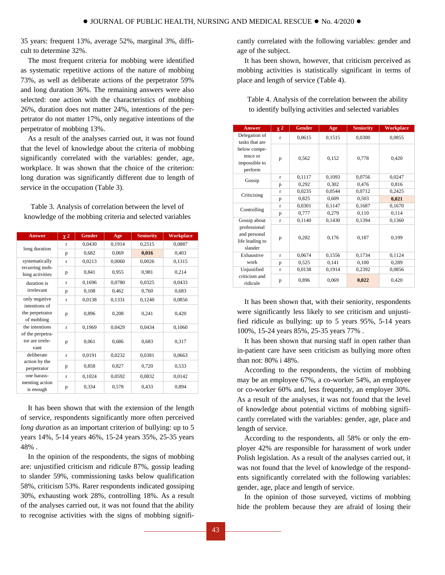35 years: frequent 13%, average 52%, marginal 3%, difficult to determine 32%.

The most frequent criteria for mobbing were identified as systematic repetitive actions of the nature of mobbing 73%, as well as deliberate actions of the perpetrator 59% and long duration 36%. The remaining answers were also selected: one action with the characteristics of mobbing 26%, duration does not matter 24%, intentions of the perpetrator do not matter 17%, only negative intentions of the perpetrator of mobbing 13%.

As a result of the analyses carried out, it was not found that the level of knowledge about the criteria of mobbing significantly correlated with the variables: gender, age, workplace. It was shown that the choice of the criterion: long duration was significantly different due to length of service in the occupation (Table 3).

Table 3. Analysis of correlation between the level of knowledge of the mobbing criteria and selected variables

| <b>Answer</b>                                  | $\chi$ 2     | <b>Gender</b> | Age    | <b>Seniority</b> | <b>Workplace</b> |
|------------------------------------------------|--------------|---------------|--------|------------------|------------------|
| long duration                                  | $\mathbf{r}$ | 0,0430        | 0,1914 | 0,2515           | 0,0887           |
|                                                | p            | 0,682         | 0,069  | 0,016            | 0,403            |
| systematically                                 | $\mathbf{r}$ | 0,0213        | 0,0060 | 0,0026           | 0,1315           |
| recurring mob-<br>bing activities              | p            | 0,841         | 0,955  | 0,981            | 0,214            |
| duration is                                    | $\mathbf{r}$ | 0,1696        | 0,0780 | 0,0325           | 0,0433           |
| irrelevant                                     | p            | 0,108         | 0,462  | 0,760            | 0,683            |
| only negative                                  | $\mathbf{r}$ | 0,0138        | 0,1331 | 0,1240           | 0,0856           |
| intentions of<br>the perpetrator<br>of mobbing | p            | 0,896         | 0,208  | 0,241            | 0,420            |
| the intentions                                 | $\mathbf{r}$ | 0,1969        | 0,0429 | 0,0434           | 0,1060           |
| of the perpetra-<br>tor are irrele-<br>vant    | p            | 0,061         | 0,686  | 0.683            | 0,317            |
| deliberate                                     | $\mathbf{r}$ | 0,0191        | 0,0232 | 0,0381           | 0,0663           |
| action by the<br>perpetrator                   | p            | 0,858         | 0,827  | 0,720            | 0,533            |
| one harass-                                    | r            | 0,1024        | 0,0592 | 0,0832           | 0,0142           |
| menting action<br>is enough                    | p            | 0,334         | 0,578  | 0,433            | 0,894            |

It has been shown that with the extension of the length of service, respondents significantly more often perceived *long duration* as an important criterion of bullying: up to 5 years 14%, 5-14 years 46%, 15-24 years 35%, 25-35 years 48% .

In the opinion of the respondents, the signs of mobbing are: unjustified criticism and ridicule 87%, gossip leading to slander 59%, commissioning tasks below qualification 58%, criticism 53%. Rarer respondents indicated gossiping 30%, exhausting work 28%, controlling 18%. As a result of the analyses carried out, it was not found that the ability to recognise activities with the signs of mobbing significantly correlated with the following variables: gender and age of the subject.

It has been shown, however, that criticism perceived as mobbing activities is statistically significant in terms of place and length of service (Table 4).

| <b>Answer</b>                                              | $\chi$ 2     | <b>Gender</b> | Age    | <b>Seniority</b> | <b>Workplace</b> |
|------------------------------------------------------------|--------------|---------------|--------|------------------|------------------|
| Delegation of<br>tasks that are                            | $\mathbf{r}$ | 0,0615        | 0,1515 | 0,0300           | 0,0855           |
| below compe-<br>tence or<br>impossible to<br>perform       | p            | 0,562         | 0,152  | 0,778            | 0,420            |
| Gossip                                                     | $\mathbf{r}$ | 0,1117        | 0,1093 | 0,0756           | 0,0247           |
|                                                            | p            | 0,292         | 0,302  | 0,476            | 0,816            |
|                                                            | $\mathbf{r}$ | 0,0235        | 0,0544 | 0,0712           | 0,2425           |
| Criticising                                                | p            | 0,825         | 0,609  | 0,503            | 0,021            |
|                                                            | $\mathbf{r}$ | 0,0301        | 0,1147 | 0,1687           | 0,1670           |
| Controlling                                                | p            | 0,777         | 0,279  | 0,110            | 0,114            |
| Gossip about                                               | $\mathbf{r}$ | 0,1140        | 0,1430 | 0,1394           | 0,1360           |
| professional<br>and personal<br>life leading to<br>slander | p            | 0,282         | 0,176  | 0,187            | 0,199            |
| Exhaustive                                                 | $\mathbf{r}$ | 0,0674        | 0,1556 | 0,1734           | 0,1124           |
| work                                                       | p            | 0,525         | 0,141  | 0,100            | 0,289            |
| Unjustified                                                | $\mathbf{r}$ | 0,0138        | 0,1914 | 0,2392           | 0,0856           |
| criticism and<br>ridicule                                  | p            | 0,896         | 0,069  | 0,022            | 0,420            |

Table 4. Analysis of the correlation between the ability to identify bullying activities and selected variables

It has been shown that, with their seniority, respondents were significantly less likely to see criticism and unjustified ridicule as bullying: up to 5 years 95%, 5-14 years 100%, 15-24 years 85%, 25-35 years 77% .

It has been shown that nursing staff in open rather than in-patient care have seen criticism as bullying more often than not: 80% i 48%.

According to the respondents, the victim of mobbing may be an employee 67%, a co-worker 54%, an employee or co-worker 60% and, less frequently, an employer 30%. As a result of the analyses, it was not found that the level of knowledge about potential victims of mobbing significantly correlated with the variables: gender, age, place and length of service.

According to the respondents, all 58% or only the employer 42% are responsible for harassment of work under Polish legislation. As a result of the analyses carried out, it was not found that the level of knowledge of the respondents significantly correlated with the following variables: gender, age, place and length of service.

In the opinion of those surveyed, victims of mobbing hide the problem because they are afraid of losing their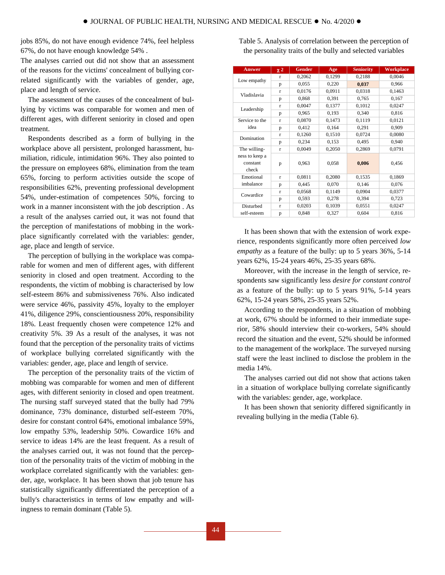jobs 85%, do not have enough evidence 74%, feel helpless 67%, do not have enough knowledge 54% .

The analyses carried out did not show that an assessment of the reasons for the victims' concealment of bullying correlated significantly with the variables of gender, age, place and length of service.

The assessment of the causes of the concealment of bullying by victims was comparable for women and men of different ages, with different seniority in closed and open treatment.

Respondents described as a form of bullying in the workplace above all persistent, prolonged harassment, humiliation, ridicule, intimidation 96%. They also pointed to the pressure on employees 68%, elimination from the team 65%, forcing to perform activities outside the scope of responsibilities 62%, preventing professional development 54%, under-estimation of competences 50%, forcing to work in a manner inconsistent with the job description . As a result of the analyses carried out, it was not found that the perception of manifestations of mobbing in the workplace significantly correlated with the variables: gender, age, place and length of service.

The perception of bullying in the workplace was comparable for women and men of different ages, with different seniority in closed and open treatment. According to the respondents, the victim of mobbing is characterised by low self-esteem 86% and submissiveness 76%. Also indicated were service 46%, passivity 45%, loyalty to the employer 41%, diligence 29%, conscientiousness 20%, responsibility 18%. Least frequently chosen were competence 12% and creativity 5%. 39 As a result of the analyses, it was not found that the perception of the personality traits of victims of workplace bullying correlated significantly with the variables: gender, age, place and length of service.

The perception of the personality traits of the victim of mobbing was comparable for women and men of different ages, with different seniority in closed and open treatment. The nursing staff surveyed stated that the bully had 79% dominance, 73% dominance, disturbed self-esteem 70%, desire for constant control 64%, emotional imbalance 59%, low empathy 53%, leadership 50%. Cowardice 16% and service to ideas 14% are the least frequent. As a result of the analyses carried out, it was not found that the perception of the personality traits of the victim of mobbing in the workplace correlated significantly with the variables: gender, age, workplace. It has been shown that job tenure has statistically significantly differentiated the perception of a bully's characteristics in terms of low empathy and willingness to remain dominant (Table 5).

Table 5. Analysis of correlation between the perception of the personality traits of the bully and selected variables

| <b>Answer</b>                       | $\chi$ <sub>2</sub> | <b>Gender</b> | Age    | <b>Seniority</b> | <b>Workplace</b> |
|-------------------------------------|---------------------|---------------|--------|------------------|------------------|
| Low empathy                         | $\mathbf{r}$        | 0,2062        | 0,1299 | 0,2188           | 0,0046           |
|                                     | p                   | 0,055         | 0,220  | 0,037            | 0,966            |
| Vladislavia                         | $\mathbf{r}$        | 0,0176        | 0,0911 | 0,0318           | 0,1463           |
|                                     | p                   | 0,868         | 0,391  | 0,765            | 0,167            |
|                                     | $\mathbf{r}$        | 0,0047        | 0,1377 | 0,1012           | 0,0247           |
| Leadership                          | p                   | 0,965         | 0,193  | 0,340            | 0,816            |
| Service to the                      | $\mathbf{r}$        | 0,0870        | 0,1473 | 0,1119           | 0,0121           |
| idea                                | p                   | 0,412         | 0,164  | 0,291            | 0,909            |
| Domination                          | $\mathbf{r}$        | 0,1260        | 0,1510 | 0,0724           | 0,0080           |
|                                     | p                   | 0,234         | 0,153  | 0,495            | 0,940            |
| The willing-                        | $\mathbf{r}$        | 0,0049        | 0,2050 | 0,2869           | 0,0791           |
| ness to keep a<br>constant<br>check | p                   | 0,963         | 0,058  | 0,006            | 0,456            |
| Emotional                           | $\mathbf{r}$        | 0,0811        | 0,2080 | 0,1535           | 0,1869           |
| imbalance                           | p                   | 0,445         | 0,070  | 0,146            | 0,076            |
| Cowardice                           | r                   | 0,0568        | 0,1149 | 0.0904           | 0,0377           |
|                                     | p                   | 0,593         | 0,278  | 0,394            | 0,723            |
| Disturbed                           | r                   | 0,0203        | 0,1039 | 0,0551           | 0,0247           |
| self-esteem                         | p                   | 0,848         | 0,327  | 0,604            | 0,816            |

It has been shown that with the extension of work experience, respondents significantly more often perceived *low empathy* as a feature of the bully: up to 5 years 36%, 5-14 years 62%, 15-24 years 46%, 25-35 years 68%.

Moreover, with the increase in the length of service, respondents saw significantly less *desire for constant control*  as a feature of the bully: up to 5 years 91%, 5-14 years 62%, 15-24 years 58%, 25-35 years 52%.

According to the respondents, in a situation of mobbing at work, 67% should be informed to their immediate superior, 58% should interview their co-workers, 54% should record the situation and the event, 52% should be informed to the management of the workplace. The surveyed nursing staff were the least inclined to disclose the problem in the media 14%.

The analyses carried out did not show that actions taken in a situation of workplace bullying correlate significantly with the variables: gender, age, workplace.

It has been shown that seniority differed significantly in revealing bullying in the media (Table 6).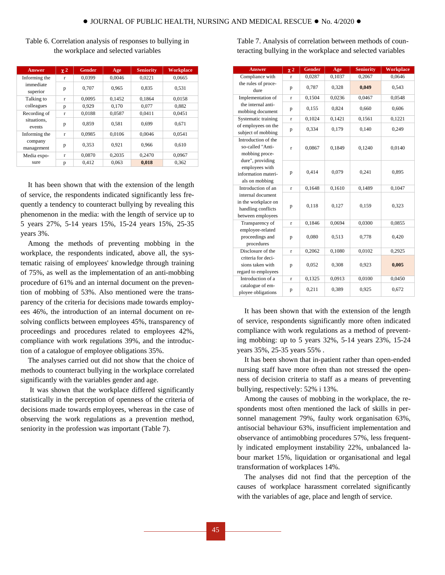| Table 6. Correlation analysis of responses to bullying in |
|-----------------------------------------------------------|
| the workplace and selected variables                      |

| <b>Answer</b>         | $\chi$ 2     | <b>Gender</b> | Age    | <b>Seniority</b> | <b>Workplace</b> |
|-----------------------|--------------|---------------|--------|------------------|------------------|
| Informing the         | $\mathbf{r}$ | 0.0399        | 0.0046 | 0.0221           | 0.0665           |
| immediate<br>superior | p            | 0.707         | 0.965  | 0.835            | 0.531            |
| Talking to            | $\mathbf{r}$ | 0.0095        | 0.1452 | 0.1864           | 0.0158           |
| colleagues            | p            | 0,929         | 0.170  | 0,077            | 0.882            |
| Recording of          | $\mathbf{r}$ | 0.0188        | 0,0587 | 0.0411           | 0.0451           |
| situations.<br>events | p            | 0.859         | 0.581  | 0.699            | 0.671            |
| Informing the         | $\mathbf{r}$ | 0,0985        | 0,0106 | 0.0046           | 0.0541           |
| company<br>management | p            | 0.353         | 0.921  | 0.966            | 0.610            |
| Media expo-           | $\mathbf{r}$ | 0.0870        | 0.2035 | 0.2470           | 0.0967           |
| sure                  | p            | 0,412         | 0,063  | 0.018            | 0,362            |

It has been shown that with the extension of the length of service, the respondents indicated significantly less frequently a tendency to counteract bullying by revealing this phenomenon in the media: with the length of service up to 5 years 27%, 5-14 years 15%, 15-24 years 15%, 25-35 years 3%.

Among the methods of preventing mobbing in the workplace, the respondents indicated, above all, the systematic raising of employees' knowledge through training of 75%, as well as the implementation of an anti-mobbing procedure of 61% and an internal document on the prevention of mobbing of 53%. Also mentioned were the transparency of the criteria for decisions made towards employees 46%, the introduction of an internal document on resolving conflicts between employees 45%, transparency of proceedings and procedures related to employees 42%, compliance with work regulations 39%, and the introduction of a catalogue of employee obligations 35%.

The analyses carried out did not show that the choice of methods to counteract bullying in the workplace correlated significantly with the variables gender and age.

It was shown that the workplace differed significantly statistically in the perception of openness of the criteria of decisions made towards employees, whereas in the case of observing the work regulations as a prevention method, seniority in the profession was important (Table 7).

Table 7. Analysis of correlation between methods of counteracting bullying in the workplace and selected variables

| <b>Answer</b>                                                                       | $\chi$ 2     | <b>Gender</b> | Age    | <b>Seniority</b> | <b>Workplace</b> |
|-------------------------------------------------------------------------------------|--------------|---------------|--------|------------------|------------------|
| Compliance with                                                                     | $\mathbf{r}$ | 0,0287        | 0,1037 | 0,2067           | 0,0646           |
| the rules of proce-<br>dure                                                         | p            | 0,787         | 0,328  | 0,049            | 0,543            |
| Implementation of                                                                   | $\mathbf{r}$ | 0,1504        | 0,0236 | 0,0467           | 0,0548           |
| the internal anti-<br>mobbing document                                              | p            | 0,155         | 0,824  | 0,660            | 0,606            |
| Systematic training                                                                 | $\mathbf{r}$ | 0,1024        | 0,1421 | 0,1561           | 0,1221           |
| of employees on the<br>subject of mobbing                                           | p            | 0,334         | 0,179  | 0,140            | 0,249            |
| Introduction of the<br>so-called "Anti-<br>mobbing proce-<br>dure", providing       | $\mathbf{r}$ | 0,0867        | 0,1849 | 0,1240           | 0,0140           |
| employees with<br>information materi-<br>als on mobbing                             | p            | 0,414         | 0,079  | 0,241            | 0,895            |
| Introduction of an                                                                  | $\mathbf{r}$ | 0,1648        | 0,1610 | 0,1489           | 0,1047           |
| internal document<br>in the workplace on<br>handling conflicts<br>between employees | p            | 0,118         | 0,127  | 0,159            | 0,323            |
| Transparency of                                                                     | $\mathbf{r}$ | 0,1846        | 0,0694 | 0,0300           | 0,0855           |
| employee-related<br>proceedings and<br>procedures                                   | p            | 0.080         | 0,513  | 0,778            | 0,420            |
| Disclosure of the                                                                   | r            | 0,2062        | 0,1080 | 0,0102           | 0,2925           |
| criteria for deci-<br>sions taken with<br>regard to employees                       | p            | 0,052         | 0,308  | 0,923            | 0,005            |
| Introduction of a                                                                   | r            | 0,1325        | 0,0913 | 0,0100           | 0,0450           |
| catalogue of em-<br>ployee obligations                                              | p            | 0,211         | 0,389  | 0,925            | 0,672            |

It has been shown that with the extension of the length of service, respondents significantly more often indicated compliance with work regulations as a method of preventing mobbing: up to 5 years 32%, 5-14 years 23%, 15-24 years 35%, 25-35 years 55% .

It has been shown that in-patient rather than open-ended nursing staff have more often than not stressed the openness of decision criteria to staff as a means of preventing bullying, respectively: 52% i 13%.

Among the causes of mobbing in the workplace, the respondents most often mentioned the lack of skills in personnel management 79%, faulty work organisation 63%, antisocial behaviour 63%, insufficient implementation and observance of antimobbing procedures 57%, less frequently indicated employment instability 22%, unbalanced labour market 15%, liquidation or organisational and legal transformation of workplaces 14%.

The analyses did not find that the perception of the causes of workplace harassment correlated significantly with the variables of age, place and length of service.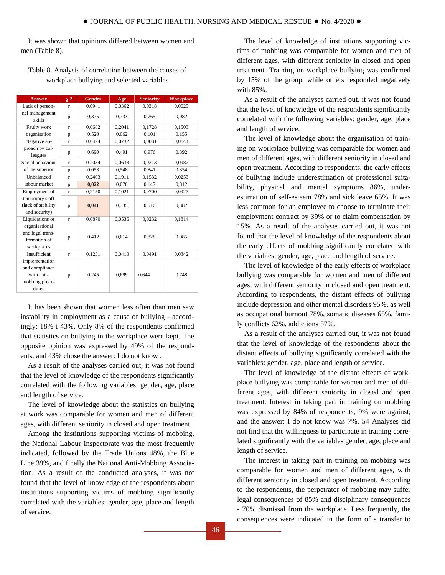It was shown that opinions differed between women and men (Table 8).

| <b>Answer</b>                                                             | $\chi$ <sub>2</sub> | <b>Gender</b> | Age    | <b>Seniority</b> | <b>Workplace</b> |
|---------------------------------------------------------------------------|---------------------|---------------|--------|------------------|------------------|
| Lack of person-                                                           | $\mathbf{r}$        | 0,0941        | 0,0362 | 0,0318           | 0,0025           |
| nel management<br>skills                                                  | p                   | 0,375         | 0,733  | 0,765            | 0,982            |
| Faulty work                                                               | $\mathbf{r}$        | 0,0682        | 0,2041 | 0,1728           | 0,1503           |
| organisation                                                              | p                   | 0,520         | 0,062  | 0,101            | 0,155            |
| Negative ap-                                                              | $\mathbf{r}$        | 0.0424        | 0,0732 | 0,0031           | 0,0144           |
| proach by col-<br>leagues                                                 | p                   | 0,690         | 0.491  | 0,976            | 0,892            |
| Social behaviour                                                          | $\mathbf{r}$        | 0,2034        | 0,0638 | 0,0213           | 0,0982           |
| of the superior                                                           | p                   | 0,053         | 0,548  | 0,841            | 0,354            |
| Unbalanced                                                                | $\mathbf{r}$        | 0,2403        | 0,1911 | 0,1532           | 0,0253           |
| labour market                                                             | p                   | 0.022         | 0.070  | 0.147            | 0,812            |
| Employment of                                                             | $\mathbf{r}$        | 0,2150        | 0,1021 | 0,0700           | 0,0927           |
| temporary staff<br>(lack of stability<br>and security)                    | p                   | 0,041         | 0,335  | 0,510            | 0,382            |
| Liquidations or                                                           | r                   | 0,0870        | 0,0536 | 0,0232           | 0,1814           |
| organisational<br>and legal trans-<br>formation of<br>workplaces          | p                   | 0,412         | 0,614  | 0,828            | 0,085            |
| Insufficient                                                              | $\mathbf{r}$        | 0,1231        | 0,0410 | 0,0491           | 0,0342           |
| implementation<br>and compliance<br>with anti-<br>mobbing proce-<br>dures | p                   | 0,245         | 0,699  | 0.644            | 0,748            |

Table 8. Analysis of correlation between the causes of workplace bullying and selected variables

It has been shown that women less often than men saw instability in employment as a cause of bullying - accordingly: 18% i 43%. Only 8% of the respondents confirmed that statistics on bullying in the workplace were kept. The opposite opinion was expressed by 49% of the respondents, and 43% chose the answer: I do not know .

As a result of the analyses carried out, it was not found that the level of knowledge of the respondents significantly correlated with the following variables: gender, age, place and length of service.

The level of knowledge about the statistics on bullying at work was comparable for women and men of different ages, with different seniority in closed and open treatment.

Among the institutions supporting victims of mobbing, the National Labour Inspectorate was the most frequently indicated, followed by the Trade Unions 48%, the Blue Line 39%, and finally the National Anti-Mobbing Association. As a result of the conducted analyses, it was not found that the level of knowledge of the respondents about institutions supporting victims of mobbing significantly correlated with the variables: gender, age, place and length of service.

The level of knowledge of institutions supporting victims of mobbing was comparable for women and men of different ages, with different seniority in closed and open treatment. Training on workplace bullying was confirmed by 15% of the group, while others responded negatively with 85%.

As a result of the analyses carried out, it was not found that the level of knowledge of the respondents significantly correlated with the following variables: gender, age, place and length of service.

The level of knowledge about the organisation of training on workplace bullying was comparable for women and men of different ages, with different seniority in closed and open treatment. According to respondents, the early effects of bullying include underestimation of professional suitability, physical and mental symptoms 86%, underestimation of self-esteem 78% and sick leave 65%. It was less common for an employee to choose to terminate their employment contract by 39% or to claim compensation by 15%. As a result of the analyses carried out, it was not found that the level of knowledge of the respondents about the early effects of mobbing significantly correlated with the variables: gender, age, place and length of service.

The level of knowledge of the early effects of workplace bullying was comparable for women and men of different ages, with different seniority in closed and open treatment. According to respondents, the distant effects of bullying include depression and other mental disorders 95%, as well as occupational burnout 78%, somatic diseases 65%, family conflicts 62%, addictions 57%.

As a result of the analyses carried out, it was not found that the level of knowledge of the respondents about the distant effects of bullying significantly correlated with the variables: gender, age, place and length of service.

The level of knowledge of the distant effects of workplace bullying was comparable for women and men of different ages, with different seniority in closed and open treatment. Interest in taking part in training on mobbing was expressed by 84% of respondents, 9% were against, and the answer: I do not know was 7%. 54 Analyses did not find that the willingness to participate in training correlated significantly with the variables gender, age, place and length of service.

The interest in taking part in training on mobbing was comparable for women and men of different ages, with different seniority in closed and open treatment. According to the respondents, the perpetrator of mobbing may suffer legal consequences of 85% and disciplinary consequences - 70% dismissal from the workplace. Less frequently, the consequences were indicated in the form of a transfer to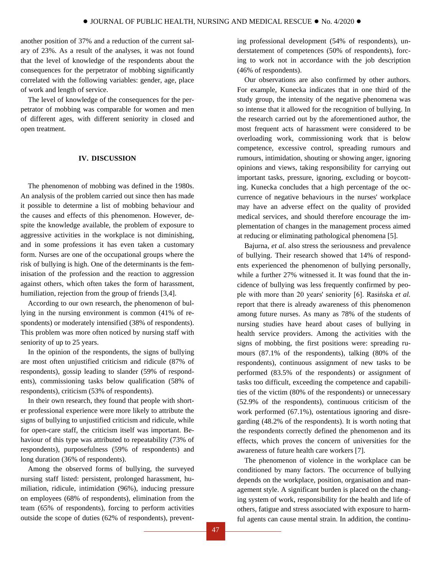another position of 37% and a reduction of the current salary of 23%. As a result of the analyses, it was not found that the level of knowledge of the respondents about the consequences for the perpetrator of mobbing significantly correlated with the following variables: gender, age, place of work and length of service.

The level of knowledge of the consequences for the perpetrator of mobbing was comparable for women and men of different ages, with different seniority in closed and open treatment.

## **IV. DISCUSSION**

The phenomenon of mobbing was defined in the 1980s. An analysis of the problem carried out since then has made it possible to determine a list of mobbing behaviour and the causes and effects of this phenomenon. However, despite the knowledge available, the problem of exposure to aggressive activities in the workplace is not diminishing, and in some professions it has even taken a customary form. Nurses are one of the occupational groups where the risk of bullying is high. One of the determinants is the feminisation of the profession and the reaction to aggression against others, which often takes the form of harassment, humiliation, rejection from the group of friends [3,4].

According to our own research, the phenomenon of bullying in the nursing environment is common (41% of respondents) or moderately intensified (38% of respondents). This problem was more often noticed by nursing staff with seniority of up to 25 years.

In the opinion of the respondents, the signs of bullying are most often unjustified criticism and ridicule (87% of respondents), gossip leading to slander (59% of respondents), commissioning tasks below qualification (58% of respondents), criticism (53% of respondents).

In their own research, they found that people with shorter professional experience were more likely to attribute the signs of bullying to unjustified criticism and ridicule, while for open-care staff, the criticism itself was important. Behaviour of this type was attributed to repeatability (73% of respondents), purposefulness (59% of respondents) and long duration (36% of respondents).

Among the observed forms of bullying, the surveyed nursing staff listed: persistent, prolonged harassment, humiliation, ridicule, intimidation (96%), inducing pressure on employees (68% of respondents), elimination from the team (65% of respondents), forcing to perform activities outside the scope of duties (62% of respondents), preventing professional development (54% of respondents), understatement of competences (50% of respondents), forcing to work not in accordance with the job description (46% of respondents).

Our observations are also confirmed by other authors. For example, Kunecka indicates that in one third of the study group, the intensity of the negative phenomena was so intense that it allowed for the recognition of bullying. In the research carried out by the aforementioned author, the most frequent acts of harassment were considered to be overloading work, commissioning work that is below competence, excessive control, spreading rumours and rumours, intimidation, shouting or showing anger, ignoring opinions and views, taking responsibility for carrying out important tasks, pressure, ignoring, excluding or boycotting. Kunecka concludes that a high percentage of the occurrence of negative behaviours in the nurses' workplace may have an adverse effect on the quality of provided medical services, and should therefore encourage the implementation of changes in the management process aimed at reducing or eliminating pathological phenomena [5].

Bajurna, *et al.* also stress the seriousness and prevalence of bullying. Their research showed that 14% of respondents experienced the phenomenon of bullying personally, while a further 27% witnessed it. It was found that the incidence of bullying was less frequently confirmed by people with more than 20 years' seniority [6]. Rasińska *et al.*  report that there is already awareness of this phenomenon among future nurses. As many as 78% of the students of nursing studies have heard about cases of bullying in health service providers. Among the activities with the signs of mobbing, the first positions were: spreading rumours (87.1% of the respondents), talking (80% of the respondents), continuous assignment of new tasks to be performed (83.5% of the respondents) or assignment of tasks too difficult, exceeding the competence and capabilities of the victim (80% of the respondents) or unnecessary (52.9% of the respondents), continuous criticism of the work performed (67.1%), ostentatious ignoring and disregarding (48.2% of the respondents). It is worth noting that the respondents correctly defined the phenomenon and its effects, which proves the concern of universities for the awareness of future health care workers [7].

The phenomenon of violence in the workplace can be conditioned by many factors. The occurrence of bullying depends on the workplace, position, organisation and management style. A significant burden is placed on the changing system of work, responsibility for the health and life of others, fatigue and stress associated with exposure to harmful agents can cause mental strain. In addition, the continu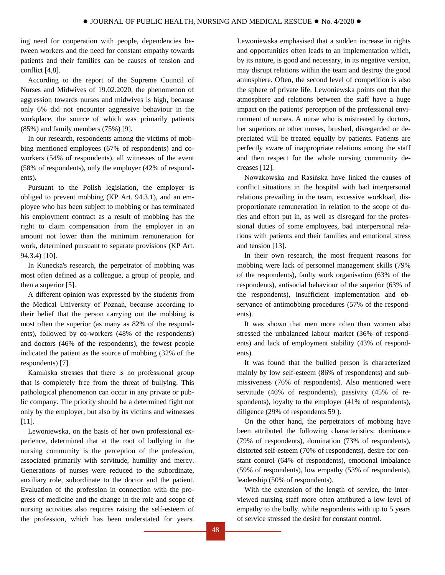ing need for cooperation with people, dependencies between workers and the need for constant empathy towards patients and their families can be causes of tension and conflict [4,8].

According to the report of the Supreme Council of Nurses and Midwives of 19.02.2020, the phenomenon of aggression towards nurses and midwives is high, because only 6% did not encounter aggressive behaviour in the workplace, the source of which was primarily patients (85%) and family members (75%) [9].

In our research, respondents among the victims of mobbing mentioned employees (67% of respondents) and coworkers (54% of respondents), all witnesses of the event (58% of respondents), only the employer (42% of respondents).

Pursuant to the Polish legislation, the employer is obliged to prevent mobbing (KP Art. 94.3.1), and an employee who has been subject to mobbing or has terminated his employment contract as a result of mobbing has the right to claim compensation from the employer in an amount not lower than the minimum remuneration for work, determined pursuant to separate provisions (KP Art. 94.3.4) [10].

In Kunecka's research, the perpetrator of mobbing was most often defined as a colleague, a group of people, and then a superior [5].

A different opinion was expressed by the students from the Medical University of Poznań, because according to their belief that the person carrying out the mobbing is most often the superior (as many as 82% of the respondents), followed by co-workers (48% of the respondents) and doctors (46% of the respondents), the fewest people indicated the patient as the source of mobbing (32% of the respondents) [7].

Kamińska stresses that there is no professional group that is completely free from the threat of bullying. This pathological phenomenon can occur in any private or public company. The priority should be a determined fight not only by the employer, but also by its victims and witnesses [11].

Lewoniewska, on the basis of her own professional experience, determined that at the root of bullying in the nursing community is the perception of the profession, associated primarily with servitude, humility and mercy. Generations of nurses were reduced to the subordinate, auxiliary role, subordinate to the doctor and the patient. Evaluation of the profession in connection with the progress of medicine and the change in the role and scope of nursing activities also requires raising the self-esteem of the profession, which has been understated for years.

Lewoniewska emphasised that a sudden increase in rights and opportunities often leads to an implementation which, by its nature, is good and necessary, in its negative version, may disrupt relations within the team and destroy the good atmosphere. Often, the second level of competition is also the sphere of private life. Lewoniewska points out that the atmosphere and relations between the staff have a huge impact on the patients' perception of the professional environment of nurses. A nurse who is mistreated by doctors, her superiors or other nurses, brushed, disregarded or depreciated will be treated equally by patients. Patients are perfectly aware of inappropriate relations among the staff and then respect for the whole nursing community decreases [12].

Nowakowska and Rasińska have linked the causes of conflict situations in the hospital with bad interpersonal relations prevailing in the team, excessive workload, disproportionate remuneration in relation to the scope of duties and effort put in, as well as disregard for the professional duties of some employees, bad interpersonal relations with patients and their families and emotional stress and tension [13].

In their own research, the most frequent reasons for mobbing were lack of personnel management skills (79% of the respondents), faulty work organisation (63% of the respondents), antisocial behaviour of the superior (63% of the respondents), insufficient implementation and observance of antimobbing procedures (57% of the respondents).

It was shown that men more often than women also stressed the unbalanced labour market (36% of respondents) and lack of employment stability (43% of respondents).

It was found that the bullied person is characterized mainly by low self-esteem (86% of respondents) and submissiveness (76% of respondents). Also mentioned were servitude (46% of respondents), passivity (45% of respondents), loyalty to the employer  $(41\% \text{ of respondents}),$ diligence (29% of respondents 59 ).

On the other hand, the perpetrators of mobbing have been attributed the following characteristics: dominance (79% of respondents), domination (73% of respondents), distorted self-esteem (70% of respondents), desire for constant control (64% of respondents), emotional imbalance (59% of respondents), low empathy (53% of respondents), leadership (50% of respondents).

With the extension of the length of service, the interviewed nursing staff more often attributed a low level of empathy to the bully, while respondents with up to 5 years of service stressed the desire for constant control.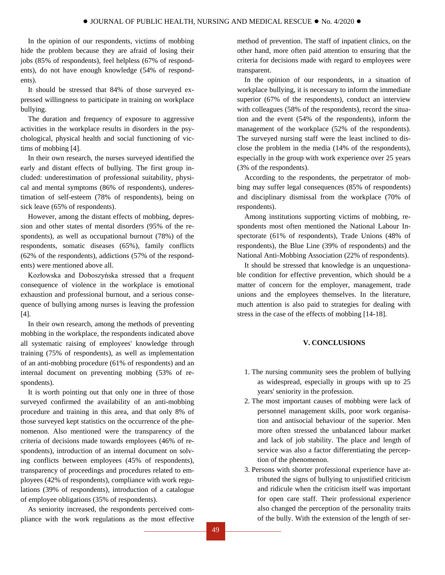In the opinion of our respondents, victims of mobbing hide the problem because they are afraid of losing their jobs (85% of respondents), feel helpless (67% of respondents), do not have enough knowledge (54% of respondents).

It should be stressed that 84% of those surveyed expressed willingness to participate in training on workplace bullying.

The duration and frequency of exposure to aggressive activities in the workplace results in disorders in the psychological, physical health and social functioning of victims of mobbing [4].

In their own research, the nurses surveyed identified the early and distant effects of bullying. The first group included: underestimation of professional suitability, physical and mental symptoms (86% of respondents), underestimation of self-esteem (78% of respondents), being on sick leave (65% of respondents).

However, among the distant effects of mobbing, depression and other states of mental disorders (95% of the respondents), as well as occupational burnout (78%) of the respondents, somatic diseases (65%), family conflicts (62% of the respondents), addictions (57% of the respondents) were mentioned above all.

Kozłowska and Doboszyńska stressed that a frequent consequence of violence in the workplace is emotional exhaustion and professional burnout, and a serious consequence of bullying among nurses is leaving the profession [4].

In their own research, among the methods of preventing mobbing in the workplace, the respondents indicated above all systematic raising of employees' knowledge through training (75% of respondents), as well as implementation of an anti-mobbing procedure (61% of respondents) and an internal document on preventing mobbing (53% of respondents).

It is worth pointing out that only one in three of those surveyed confirmed the availability of an anti-mobbing procedure and training in this area, and that only 8% of those surveyed kept statistics on the occurrence of the phenomenon. Also mentioned were the transparency of the criteria of decisions made towards employees (46% of respondents), introduction of an internal document on solving conflicts between employees (45% of respondents), transparency of proceedings and procedures related to employees (42% of respondents), compliance with work regulations (39% of respondents), introduction of a catalogue of employee obligations (35% of respondents).

As seniority increased, the respondents perceived compliance with the work regulations as the most effective method of prevention. The staff of inpatient clinics, on the other hand, more often paid attention to ensuring that the criteria for decisions made with regard to employees were transparent.

In the opinion of our respondents, in a situation of workplace bullying, it is necessary to inform the immediate superior (67% of the respondents), conduct an interview with colleagues (58% of the respondents), record the situation and the event (54% of the respondents), inform the management of the workplace (52% of the respondents). The surveyed nursing staff were the least inclined to disclose the problem in the media (14% of the respondents), especially in the group with work experience over 25 years (3% of the respondents).

According to the respondents, the perpetrator of mobbing may suffer legal consequences (85% of respondents) and disciplinary dismissal from the workplace (70% of respondents).

Among institutions supporting victims of mobbing, respondents most often mentioned the National Labour Inspectorate (61% of respondents), Trade Unions (48% of respondents), the Blue Line (39% of respondents) and the National Anti-Mobbing Association (22% of respondents).

It should be stressed that knowledge is an unquestionable condition for effective prevention, which should be a matter of concern for the employer, management, trade unions and the employees themselves. In the literature, much attention is also paid to strategies for dealing with stress in the case of the effects of mobbing [14-18].

## **V. CONCLUSIONS**

- 1. The nursing community sees the problem of bullying as widespread, especially in groups with up to 25 years' seniority in the profession.
- 2. The most important causes of mobbing were lack of personnel management skills, poor work organisation and antisocial behaviour of the superior. Men more often stressed the unbalanced labour market and lack of job stability. The place and length of service was also a factor differentiating the perception of the phenomenon.
- 3. Persons with shorter professional experience have attributed the signs of bullying to unjustified criticism and ridicule when the criticism itself was important for open care staff. Their professional experience also changed the perception of the personality traits of the bully. With the extension of the length of ser-